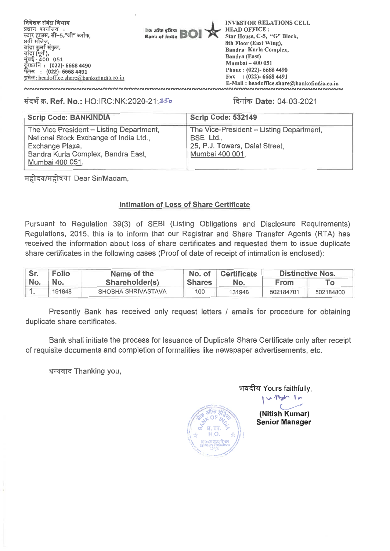

### **TN-4W. Ref. No.:** HO:IRC:NK:2020-21:3Co **lion Date:** 04-03-2021

| <b>Scrip Code: BANKINDIA</b>                                                                                                                                   | <b>Scrip Code: 532149</b>                                                                                  |
|----------------------------------------------------------------------------------------------------------------------------------------------------------------|------------------------------------------------------------------------------------------------------------|
| The Vice President - Listing Department,<br>National Stock Exchange of India Ltd.,<br>Exchange Plaza,<br>Bandra Kurla Complex, Bandra East,<br>Mumbai 400 051. | The Vice-President - Listing Department,<br>BSE Ltd.,<br>25, P.J. Towers, Dalal Street,<br>Mumbai 400 001. |

महोदय/महोदया Dear Sir/Madam,

### **Intimation of Loss of Share Certificate**

Pursuant to Regulation 39(3) of SEBI (Listing Obligations and Disclosure Requirements) Regulations, 2015, this is to inform that our Registrar and Share Transfer Agents (RTA) has received the information about loss of share certificates and requested them to issue duplicate share certificates in the following cases (Proof of date of receipt of intimation is enclosed):

| Sr. | <b>Folio</b> | Name of the        | No. of        | <b>Certificate</b> | <b>Distinctive Nos.</b> |           |
|-----|--------------|--------------------|---------------|--------------------|-------------------------|-----------|
| No. | No.          | Shareholder(s)     | <b>Shares</b> | No.                | <b>From</b>             |           |
|     | 191848       | SHOBHA SHRIVASTAVA | 100           | 131948             | 502184701               | 502184800 |

Presently Bank has received only request letters / emails for procedure for obtaining duplicate share certificates.

Bank shall initiate the process for Issuance of Duplicate Share Certificate only after receipt of requisite documents and completion of formalities like newspaper advertisements, etc.

धन्यवाद Thanking you,



भवदीय Yours faithfully,  $.14$ 

1 **(Nitish Kumar) Senior Manager**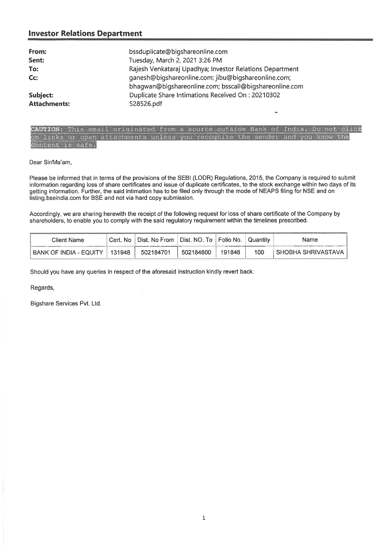## **Investor Relations Department**

| From:               | bssduplicate@bigshareonline.com                                                                               |
|---------------------|---------------------------------------------------------------------------------------------------------------|
| Sent:               | Tuesday, March 2, 2021 3:26 PM                                                                                |
| To:                 | Rajesh Venkataraj Upadhya; Investor Relations Department                                                      |
| Cc:                 | ganesh@bigshareonline.com; jibu@bigshareonline.com;<br>bhagwan@bigshareonline.com; bsscall@bigshareonline.com |
| Subject:            | Duplicate Share Intimations Received On: 20210302                                                             |
| <b>Attachments:</b> | 528526.pdf                                                                                                    |

CAUTION: This email originated from a source outside Bank of India. Do not click on links or open attachments unless you recognize the sender and you know the content is safe.

Dear Sir/Ma'am,

Please be informed that in terms of the provisions of the SEBI (LODR) Regulations, 2015, the Company is required to submit information regarding loss of share certificates and issue of duplicate certificates, to the stock exchange within two days of its getting information. Further, the said intimation has to be filed only through the mode of NEAPS filing for NSE and on listing.bseindia.com for BSE and not via hard copy submission.

Accordingly, we are sharing herewith the receipt of the following request for loss of share certificate of the Company by shareholders, to enable you to comply with the said regulatory requirement within the timelines prescribed.

| Client Name                | Cert. No | ∥ Dist. No From | ∥ Dist. NO. To ∥ Folio No. ∥ |        | ⊑Quantitv⊣ | Name                        |
|----------------------------|----------|-----------------|------------------------------|--------|------------|-----------------------------|
| ' BANK OF INDIA - EQUITY ) | 131948   | 502184701       | 502184800                    | 191848 | 100        | <b>I SHOBHA SHRIVASTAVA</b> |

Should you have any queries in respect of the aforesaid instruction kindly revert back.

Regards,

Bigshare Services Pvt. Ltd.